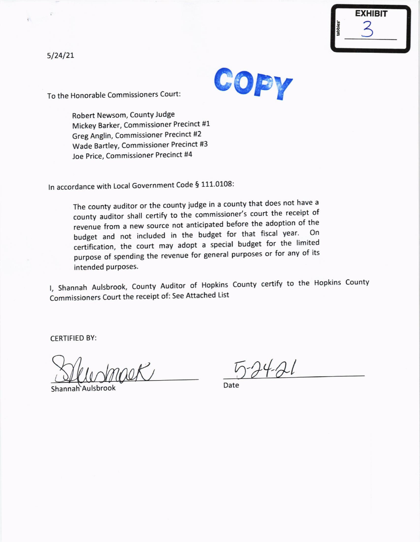

**COPY** 

To the Honorable Commissioners Court:

Robert Newsom, County Judge Mickey Barker, Commissioner Precinct #1 Greg Anglin, Commissioner Precinct #2 Wade Bartley, Commissioner Precinct #3 Joe Price, Commissioner Precinct #4

In accordance with Local Government Code § 111.0108:

The county auditor or the county iudge in a county that does not have <sup>a</sup> county auditor shall certify to the commissioner's court the receipt of revenue from a new source not anticipated before the adoption of the budget and not included in the budget for that fiscal year. certification, the court may adopt a special budget for the limited purpose of spending the revenue for general purposes or for any of its intended purposes.

l, Shannah Aulsbrook, county Auditor of Hopkins county certify to the Hopkins county Commissioners Court the receipt of: See Attached List

CERTIFIED BY:

Shannah Aulsbrook

 $-24.21$ 

Date

5/24/21

 $\widehat{\mathcal{X}}$ 

 $\overline{r}$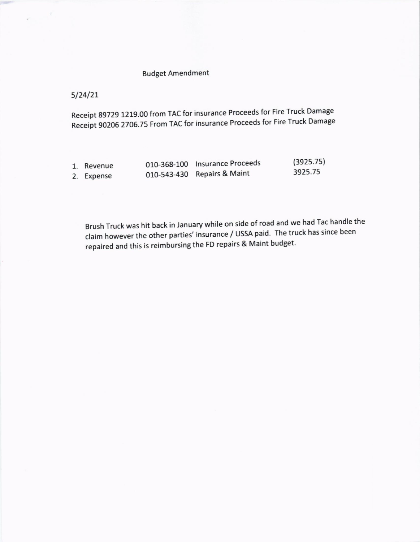## Budget Amendment

 $5/24/21$ 

Receipt 89729 1219.00 from TAC for insurance Proceeds for Fire Truck Damage Receipt 90206 2706.75 From TAC for insurance Proceeds for Fire Truck Damage

| 1. Revenue | 010-368-100 Insurance Proceeds | (3925.75) |
|------------|--------------------------------|-----------|
| 2. Expense | 010-543-430 Repairs & Maint    | 3925.75   |

Brush Truck was hit back in January while on side of road and we had Tac handle the claim however the other parties' insurance / USSA paid. The truck has since been repaired and this is reimbursing the FD repairs & Maint budget.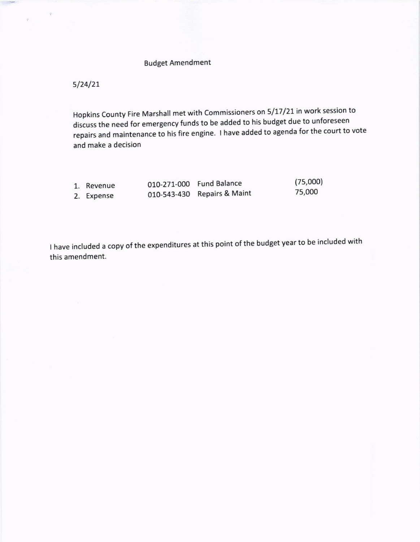## Budget Amendment

 $5/24/21$ 

Hopkins County Fire Marshall met with Commissioners on 5/17/21 in work session to discuss the need for emergency funds to be added to his budget due to unforeseen repairs and maintenance to his fire engine. I have added to agenda for the court to vote and make a decision

| 1. Revenue | 010-271-000 Fund Balance    | (75,000) |
|------------|-----------------------------|----------|
| 2. Expense | 010-543-430 Repairs & Maint | 75,000   |

I have included a copy of the expenditures at this point of the budget year to be included with this amendment.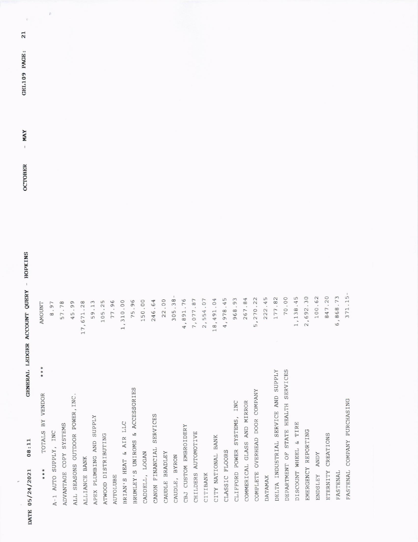| 1.15<br>7.20<br>8.73<br>2.30<br>0.62<br>8.45<br>70.00<br>222.45<br>177.82<br>5, 270.22<br>.84<br>4,978.45<br>.93<br>18,491.04<br>968<br>267<br>1, 13<br>2,69<br>10<br>84<br>6,86<br>37<br>DELTA INDUSTRIAL SERVICE AND SUPPLY<br>DEPARTMENT OF STATE HEALTH SERVICES<br>COMPLETE OVERHEAD DOOR COMPANY<br>FASTENAL COMPANY PURCHASING<br>COMMERICAL GLASS AND MIRROR<br>CLIFFORD POWER SYSTEMS, INC |
|-----------------------------------------------------------------------------------------------------------------------------------------------------------------------------------------------------------------------------------------------------------------------------------------------------------------------------------------------------------------------------------------------------|
|                                                                                                                                                                                                                                                                                                                                                                                                     |
|                                                                                                                                                                                                                                                                                                                                                                                                     |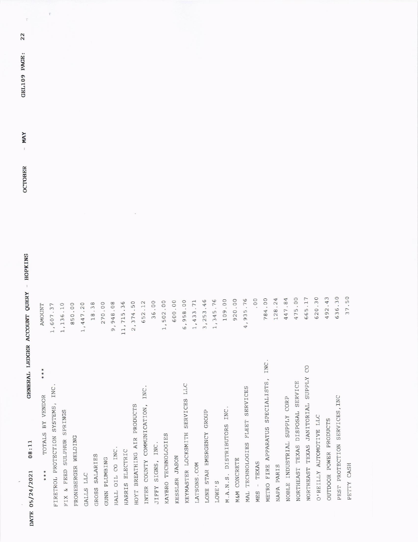| 22<br>GEL109 PAGE:<br><b>MAY</b><br>$\mathbf{I}$<br><b>OCTOBER</b> |                                    | $\widetilde{\Gamma}$              |                               |                     |           |                |               |                 |                 |                             |                                        |                             |                     |               |                                  |                |                           |               |                           |              |                                 |                |                                           |            |                              |                                  |                                         |                         |                        |                               |            |  |
|--------------------------------------------------------------------|------------------------------------|-----------------------------------|-------------------------------|---------------------|-----------|----------------|---------------|-----------------|-----------------|-----------------------------|----------------------------------------|-----------------------------|---------------------|---------------|----------------------------------|----------------|---------------------------|---------------|---------------------------|--------------|---------------------------------|----------------|-------------------------------------------|------------|------------------------------|----------------------------------|-----------------------------------------|-------------------------|------------------------|-------------------------------|------------|--|
| - HOPKINS<br><b>QUERY</b>                                          | <b>AMOUNT</b>                      | .37<br>1,607                      | .10<br>1,136                  | 850.00              | 1, 447.20 | 18.38          | 270.00        | 9,948.08        | 11,715.36       | 2,374.50                    | 2.12<br>65                             | 36.00                       | 1,502.00            | 0.00<br>60    | 8.00<br>6,95                     | .3.71<br>1, 43 | 3.46<br>3,25              | 5.76<br>1, 34 | 109.00                    | 920.00       | 5.76<br>4,93                    | 00.            | 784.00                                    | 128.24     | 447.84                       | 475.00                           | 665.17                                  | 620.30                  | .43<br>492             | 636.30                        | 37.50      |  |
| GENERAL LEDGER ACCOUNT<br>08:11<br>DATE 05/24/2021                 | * * *<br>TOTALS BY VENDOR<br>* * * | FIRETROL PROTECTION SYSTEMS, INC. | SULPHUR SPRINGS<br>FIX & FEED | FRONEBERGER WELDING | GALLS LLC | GROSS SALARIES | GUNN PLUMBING | HALL OIL CO INC | HARRIS ELECTRIC | HOYT BREATHING AIR PRODUCTS | INC.<br>COUNTY COMMUNICATION,<br>INTER | SIGNS, INC.<br><b>TIFFY</b> | KAYBRO TECHNOLOGIES | KESSLER JASON | KEYMASTER LOCKSMITH SERVICES LLC | LATSONS. COM   | LONE STAR EMERGENCY GROUP | LOWE'S        | M.A.N.S. DISTRIBUTORS INC | M&M CONCRETE | MAL TECHNOLOGIES FLEET SERVICES | - TEXAS<br>MES | INC.<br>METRO FIRE APPARATUS SPECIALISTS, | NAPA PARIS | NOBLE INDUSTRIAL SUPPLY CORP | NORTHEAST TEXAS DISPOSAL SERVICE | CO<br>NORTHEAST TEXAS JANITORIAL SUPPLY | O'REILLY AUTOMOTIVE LLC | OUTDOOR POWER PRODUCTS | PEST PROTECTION SERVICES, INC | PETTY CASH |  |